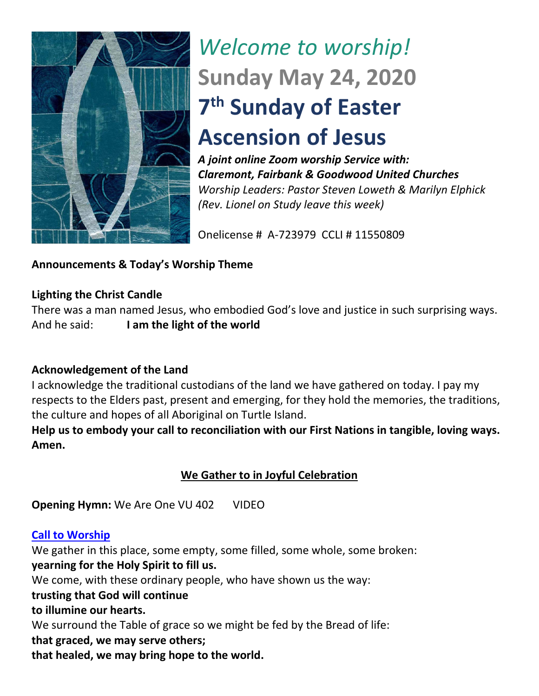

# *Welcome to worship!* **Sunday May 24, 2020 7 th Sunday of Easter Ascension of Jesus**

*A joint online Zoom worship Service with: Claremont, Fairbank & Goodwood United Churches Worship Leaders: Pastor Steven Loweth & Marilyn Elphick (Rev. Lionel on Study leave this week)* 

Onelicense # A-723979 CCLI # 11550809

# **Announcements & Today's Worship Theme**

# **Lighting the Christ Candle**

There was a man named Jesus, who embodied God's love and justice in such surprising ways. And he said: **I am the light of the world** 

# **Acknowledgement of the Land**

I acknowledge the traditional custodians of the land we have gathered on today. I pay my respects to the Elders past, present and emerging, for they hold the memories, the traditions, the culture and hopes of all Aboriginal on Turtle Island.

**Help us to embody your call to reconciliation with our First Nations in tangible, loving ways. Amen.** 

# **We Gather to in Joyful Celebration**

**Opening Hymn:** We Are One VU 402 VIDEO

### **Call to Worship**

We gather in this place, some empty, some filled, some whole, some broken: **yearning for the Holy Spirit to fill us.**

We come, with these ordinary people, who have shown us the way:

### **trusting that God will continue**

### **to illumine our hearts.**

We surround the Table of grace so we might be fed by the Bread of life:

**that graced, we may serve others;**

**that healed, we may bring hope to the world.**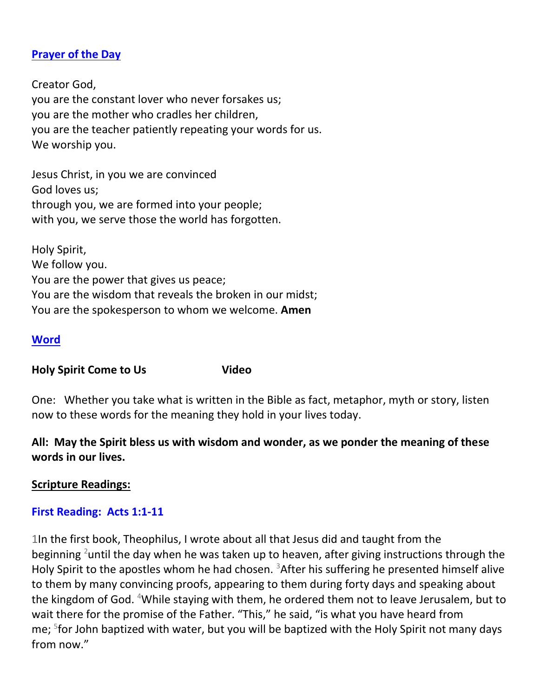### **[Prayer of the Day](http://lectionaryliturgies.blogspot.com/2008/04/ascension.html)**

Creator God, you are the constant lover who never forsakes us; you are the mother who cradles her children, you are the teacher patiently repeating your words for us. We worship you.

Jesus Christ, in you we are convinced God loves us; through you, we are formed into your people; with you, we serve those the world has forgotten.

Holy Spirit, We follow you. You are the power that gives us peace; You are the wisdom that reveals the broken in our midst; You are the spokesperson to whom we welcome. **Amen**

#### **Word**

**Holy Spirit Come to Us Video**

One: Whether you take what is written in the Bible as fact, metaphor, myth or story, listen now to these words for the meaning they hold in your lives today.

**All: May the Spirit bless us with wisdom and wonder, as we ponder the meaning of these words in our lives.**

#### **Scripture Readings:**

#### **First Reading: Acts 1:1-11**

1In the first book, Theophilus, I wrote about all that Jesus did and taught from the beginning <sup>2</sup>until the day when he was taken up to heaven, after giving instructions through the Holy Spirit to the apostles whom he had chosen.  $3$ After his suffering he presented himself alive to them by many convincing proofs, appearing to them during forty days and speaking about the kingdom of God. <sup>4</sup>While staying with them, he ordered them not to leave Jerusalem, but to wait there for the promise of the Father. "This," he said, "is what you have heard from me; <sup>5</sup>for John baptized with water, but you will be baptized with the Holy Spirit not many days from now."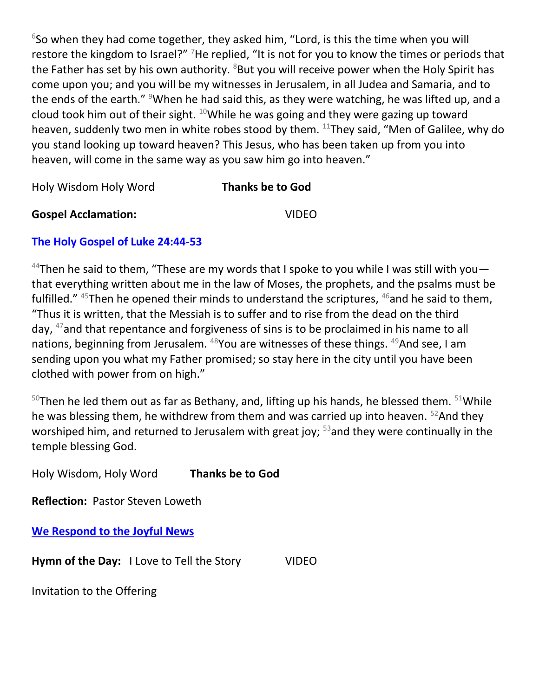$6$ So when they had come together, they asked him, "Lord, is this the time when you will restore the kingdom to Israel?" <sup>7</sup>He replied, "It is not for you to know the times or periods that the Father has set by his own authority.  $8$ But you will receive power when the Holy Spirit has come upon you; and you will be my witnesses in Jerusalem, in all Judea and Samaria, and to the ends of the earth." <sup>9</sup>When he had said this, as they were watching, he was lifted up, and a cloud took him out of their sight.  $10$ While he was going and they were gazing up toward heaven, suddenly two men in white robes stood by them. <sup>11</sup>They said, "Men of Galilee, why do you stand looking up toward heaven? This Jesus, who has been taken up from you into heaven, will come in the same way as you saw him go into heaven."

Holy Wisdom Holy Word **Thanks be to God**

**Gospel Acclamation:** VIDEO

# **The Holy Gospel of Luke 24:44-53**

<sup>44</sup>Then he said to them, "These are my words that I spoke to you while I was still with you  $$ that everything written about me in the law of Moses, the prophets, and the psalms must be fulfilled."  $45$ Then he opened their minds to understand the scriptures,  $46$  and he said to them, "Thus it is written, that the Messiah is to suffer and to rise from the dead on the third day, <sup>47</sup>and that repentance and forgiveness of sins is to be proclaimed in his name to all nations, beginning from Jerusalem. <sup>48</sup>You are witnesses of these things. <sup>49</sup>And see, I am sending upon you what my Father promised; so stay here in the city until you have been clothed with power from on high."

 $50$ Then he led them out as far as Bethany, and, lifting up his hands, he blessed them.  $51$ While he was blessing them, he withdrew from them and was carried up into heaven. <sup>52</sup>And they worshiped him, and returned to Jerusalem with great joy;  $53$  and they were continually in the temple blessing God.

Holy Wisdom, Holy Word **Thanks be to God** 

**Reflection:** Pastor Steven Loweth

**We Respond to the Joyful News**

**Hymn of the Day:** I Love to Tell the Story VIDEO

Invitation to the Offering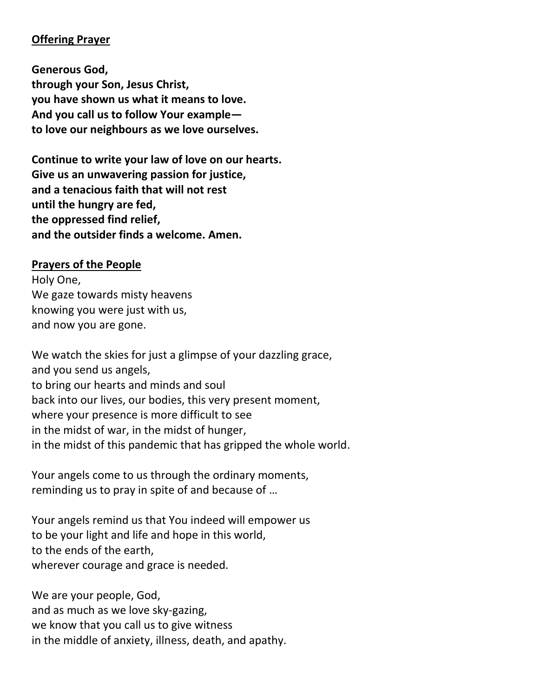#### **Offering Prayer**

**Generous God, through your Son, Jesus Christ, you have shown us what it means to love. And you call us to follow Your example to love our neighbours as we love ourselves.**

**Continue to write your law of love on our hearts. Give us an unwavering passion for justice, and a tenacious faith that will not rest until the hungry are fed, the oppressed find relief, and the outsider finds a welcome. Amen.**

#### **Prayers of the People**

Holy One, We gaze towards misty heavens knowing you were just with us, and now you are gone.

We watch the skies for just a glimpse of your dazzling grace, and you send us angels, to bring our hearts and minds and soul back into our lives, our bodies, this very present moment, where your presence is more difficult to see in the midst of war, in the midst of hunger, in the midst of this pandemic that has gripped the whole world.

Your angels come to us through the ordinary moments, reminding us to pray in spite of and because of …

Your angels remind us that You indeed will empower us to be your light and life and hope in this world, to the ends of the earth, wherever courage and grace is needed.

We are your people, God, and as much as we love sky-gazing, we know that you call us to give witness in the middle of anxiety, illness, death, and apathy.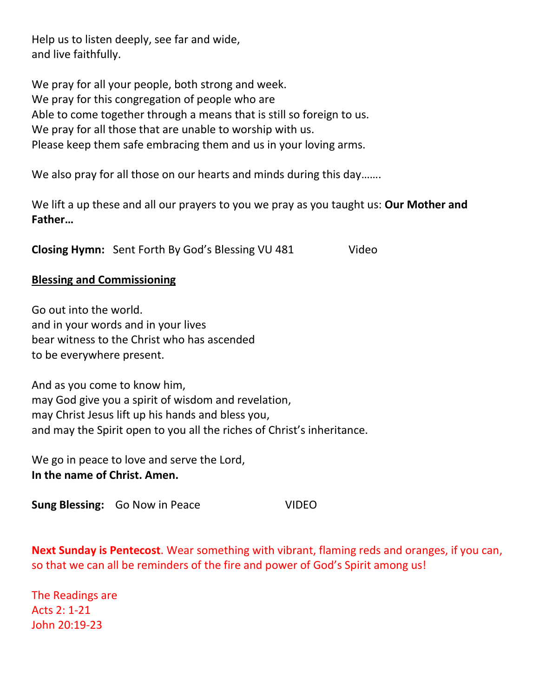Help us to listen deeply, see far and wide, and live faithfully.

We pray for all your people, both strong and week. We pray for this congregation of people who are Able to come together through a means that is still so foreign to us. We pray for all those that are unable to worship with us. Please keep them safe embracing them and us in your loving arms.

We also pray for all those on our hearts and minds during this day.......

We lift a up these and all our prayers to you we pray as you taught us: **Our Mother and Father…**

**Closing Hymn:** Sent Forth By God's Blessing VU 481 Video

#### **Blessing and Commissioning**

Go out into the world. and in your words and in your lives bear witness to the Christ who has ascended to be everywhere present.

And as you come to know him, may God give you a spirit of wisdom and revelation, may Christ Jesus lift up his hands and bless you, and may the Spirit open to you all the riches of Christ's inheritance.

We go in peace to love and serve the Lord, **In the name of Christ. Amen.**

**Sung Blessing:** Go Now in Peace VIDEO

**Next Sunday is Pentecost**. Wear something with vibrant, flaming reds and oranges, if you can, so that we can all be reminders of the fire and power of God's Spirit among us!

The Readings are Acts 2: 1-21 John 20:19-23